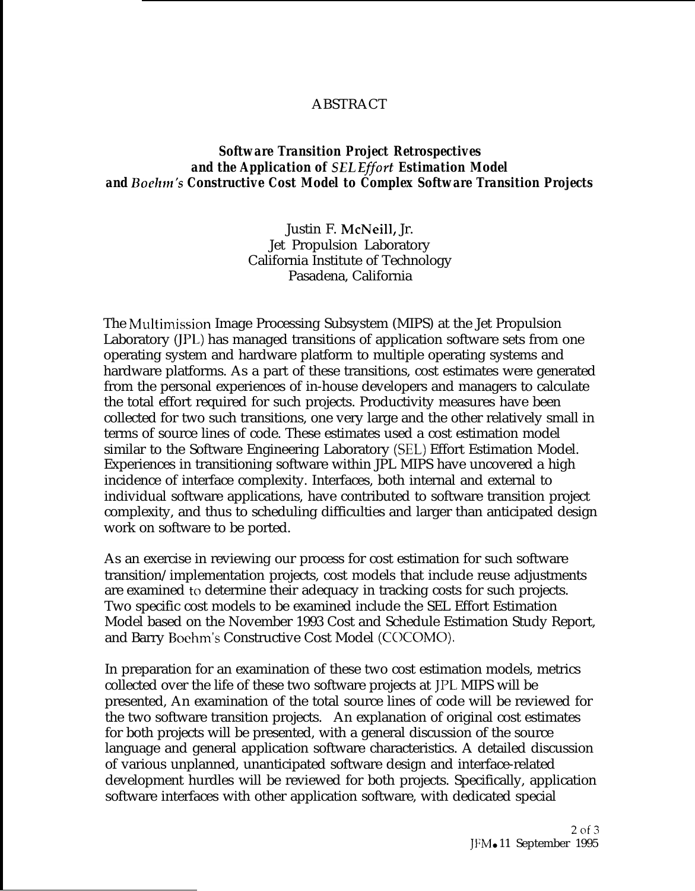## ABSTRACT

## *Software Transition Project Retrospectives and the Application of SEL Eflort Estimation Model and Bochn's Constructive Cost Model to Complex Software Transition Projects*

Justin F. McNeill, Jr. Jet Propulsion Laboratory California Institute of Technology Pasadena, California

The Multimission Image Processing Subsystem (MIPS) at the Jet Propulsion Laboratory (JPL) has managed transitions of application software sets from one operating system and hardware platform to multiple operating systems and hardware platforms. As a part of these transitions, cost estimates were generated from the personal experiences of in-house developers and managers to calculate the total effort required for such projects. Productivity measures have been collected for two such transitions, one very large and the other relatively small in terms of source lines of code. These estimates used a cost estimation model similar to the Software Engineering Laboratory (SEL) Effort Estimation Model. Experiences in transitioning software within JPL MIPS have uncovered a high incidence of interface complexity. Interfaces, both internal and external to individual software applications, have contributed to software transition project complexity, and thus to scheduling difficulties and larger than anticipated design work on software to be ported.

As an exercise in reviewing our process for cost estimation for such software transition/implementation projects, cost models that include reuse adjustments are examined to determine their adequacy in tracking costs for such projects. Two specific cost models to be examined include the SEL Effort Estimation Model based on the November 1993 Cost and Schedule Estimation Study Report, and Barry Boehm's Constructive Cost Model (COCOMO).

In preparation for an examination of these two cost estimation models, metrics collected over the life of these two software projects at JPL, MIPS will be presented, An examination of the total source lines of code will be reviewed for the two software transition projects. An explanation of original cost estimates for both projects will be presented, with a general discussion of the source language and general application software characteristics. A detailed discussion of various unplanned, unanticipated software design and interface-related development hurdles will be reviewed for both projects. Specifically, application software interfaces with other application software, with dedicated special